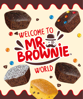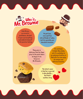

John Brown. an eccentric gentleman, decided to give up everything and dedicate himself to his passion: baking.

He put love, care and time into all kinds of cakes, but his specialty was chocolate brownies.

They were so delicious that his fame grew to the point where he began to be known as Mr. Brownie.

E.

He continues to bake them daily out of a workshop in an unknown location so that all of us can enjoy his unique and delicious brownies.

The latest rumor is that he is married to Mrs.Muffin ... **But that's** another story.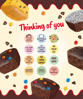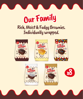

## Our Family Rich, Moist & Fudgy Brownies. Individually wrapped.







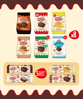















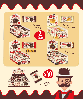



66 0 3 90000 1 1 PORTION SNACK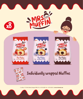



## Individually wrapped Muffins

C/ La Balsa, 7 CP: 50461 Alfamén (Zaragoza) SPAIN // Tel: +34 976 626065 Fax: +34 976 628332 // **www.mr-brownie.com**